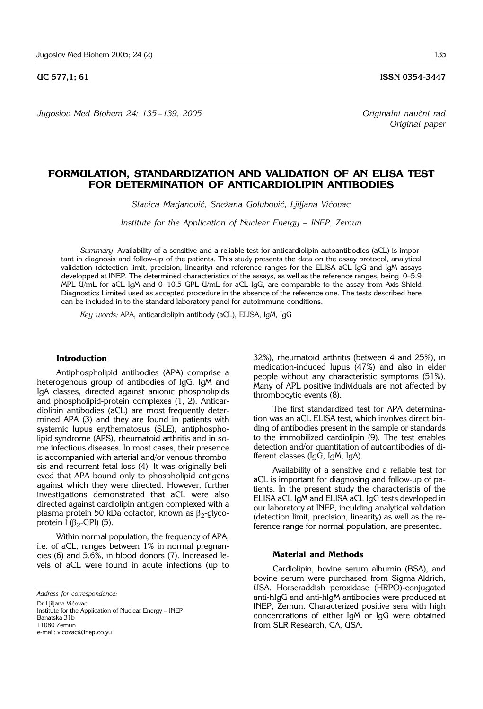*Jugoslov Med Biohem 24: 135 –139, 2005 Originalni nau~ni rad*

**UC 577.1: 61 ISSN 0354-3447** 

*Original paper*

# **FORMULATION, STANDARDIZATION AND VALIDATION OF AN ELISA TEST FOR DETERMINATION OF ANTICARDIOLIPIN ANTIBODIES**

Slavica Marjanović, Snežana Golubović, Ljiljana Vićovac

*Institute for the Application of Nuclear Energy – INEP, Zemun*

*Summary*: Availability of a sensitive and a reliable test for anticardiolipin autoantibodies (aCL) is important in diagnosis and follow-up of the patients. This study presents the data on the assay protocol, analytical validation (detection limit, precision, linearity) and reference ranges for the ELISA aCL IgG and IgM assays developped at INEP. The determined characteristics of the assays, as well as the reference ranges, being 0–5.9 MPL U/mL for aCL IgM and 0–10.5 GPL U/mL for aCL IgG, are comparable to the assay from Axis-Shield Diagnostics Limited used as accepted procedure in the absence of the reference one. The tests described here can be included in to the standard laboratory panel for autoimmune conditions.

*Key words:* APA, anticardiolipin antibody (aCL), ELISA, IgM, IgG

### **Introduction**

Antiphospholipid antibodies (APA) comprise a heterogenous group of antibodies of IgG, IgM and IgA classes, directed against anionic phospholipids and phospholipid-protein complexes (1, 2). Anticardiolipin antibodies (aCL) are most frequently determined APA (3) and they are found in patients with systemic lupus erythematosus (SLE), antiphospholipid syndrome (APS), rheumatoid arthritis and in some infectious diseases. In most cases, their presence is accompanied with arterial and/or venous thrombosis and recurrent fetal loss (4). It was originally believed that APA bound only to phospholipid antigens against which they were directed. However, further investigations demonstrated that aCL were also directed against cardiolipin antigen complexed with a plasma protein 50 kDa cofactor, known as  $\beta_2$ -glycoprotein I ( $\beta_2$ -GPI) (5).

Within normal population, the frequency of APA, i.e. of aCL, ranges between 1% in normal pregnancies (6) and 5.6%, in blood donors (7). Increased levels of aCL were found in acute infections (up to

Dr Liiliana Vićovac Institute for the Application of Nuclear Energy - INEP Banatska 31b 11080 Zemun e-mail: vicovac@inep.co.yu

32%), rheumatoid arthritis (between 4 and 25%), in medication-induced lupus (47%) and also in elder people without any characteristic symptoms (51%). Many of APL positive individuals are not affected by thrombocytic events (8).

The first standardized test for APA determination was an aCL ELISA test, which involves direct binding of antibodies present in the sample or standards to the immobilized cardiolipin (9). The test enables detection and/or quantitation of autoantibodies of different classes (IgG, IgM, IgA).

Availability of a sensitive and a reliable test for aCL is important for diagnosing and follow-up of patients. In the present study the characteristis of the ELISA aCL IgM and ELISA aCL IgG tests developed in our laboratory at INEP, inculding analytical validation (detection limit, precision, linearity) as well as the reference range for normal population, are presented.

#### **Material and Methods**

Cardiolipin, bovine serum albumin (BSA), and bovine serum were purchased from Sigma-Aldrich, USA. Horseraddish peroxidase (HRPO)-conjugated anti-hIgG and anti-hIgM antibodies were produced at INEP, Zemun. Characterized positive sera with high concentrations of either IgM or IgG were obtained from SLR Research, CA, USA.

*Address for correspondence:*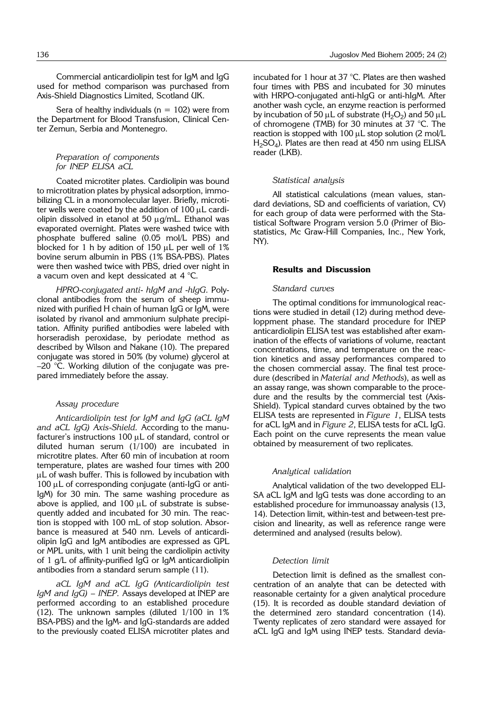Commercial anticardiolipin test for IgM and IgG used for method comparison was purchased from Axis-Shield Diagnostics Limited, Scotland UK.

Sera of healthy individuals ( $n = 102$ ) were from the Department for Blood Transfusion, Clinical Center Zemun, Serbia and Montenegro.

## *Preparation of components for INEP ELISA aCL*

Coated microtiter plates. Cardiolipin was bound to microtitration plates by physical adsorption, immobilizing CL in a monomolecular layer. Briefly, microtiter wells were coated by the addition of  $100 \mu L$  cardiolipin dissolved in etanol at 50  $\mu$ g/mL. Ethanol was evaporated overnight. Plates were washed twice with phosphate buffered saline (0.05 mol/L PBS) and blocked for 1 h by adition of 150  $\mu$ L per well of 1% bovine serum albumin in PBS (1% BSA-PBS). Plates were then washed twice with PBS, dried over night in a vacum oven and kept dessicated at  $4^{\circ}$ C.

*HPRO*-*conjugated anti*- *hIgM and* -*hIgG.* Polyclonal antibodies from the serum of sheep immunized with purified H chain of human IgG or IgM, were isolated by rivanol and ammonium sulphate precipitation. Affinity purified antibodies were labeled with horseradish peroxidase, by periodate method as described by Wilson and Nakane (10). The prepared conjugate was stored in 50% (by volume) glycerol at  $-20$  °C. Working dilution of the conjugate was prepared immediately before the assay.

## *Assay procedure*

*Anticardiolipin test for IgM and IgG (aCL IgM and aCL IgG) Axis*-*Shield.* According to the manufacturer's instructions 100  $\mu$ L of standard, control or diluted human serum (1/100) are incubated in microtitre plates. After 60 min of incubation at room temperature, plates are washed four times with 200  $\mu$ L of wash buffer. This is followed by incubation with  $100 \mu L$  of corresponding conjugate (anti-IgG or anti-IgM) for 30 min. The same washing procedure as above is applied, and  $100 \mu L$  of substrate is subsequently added and incubated for 30 min. The reaction is stopped with 100 mL of stop solution. Absorbance is measured at 540 nm. Levels of anticardiolipin IgG and IgM antibodies are expressed as GPL or MPL units, with 1 unit being the cardiolipin activity of 1 g/L of affinity-purified IgG or IgM anticardiolipin antibodies from a standard serum sample (11).

*aCL IgM and aCL IgG (Anticardiolipin test IgM and IgG) – INEP.* Assays developed at INEP are performed according to an established procedure (12). The unknown samples (diluted 1/100 in 1% BSA-PBS) and the IgM- and IgG-standards are added to the previously coated ELISA microtiter plates and incubated for 1 hour at 37 °C. Plates are then washed four times with PBS and incubated for 30 minutes with HRPO-conjugated anti-hIgG or anti-hIgM. After another wash cycle, an enzyme reaction is performed by incubation of 50  $\mu$ L of substrate (H<sub>2</sub>O<sub>2</sub>) and 50  $\mu$ L of chromogene (TMB) for 30 minutes at 37 °C. The reaction is stopped with  $100 \mu$ L stop solution (2 mol/L  $H<sub>2</sub>SO<sub>4</sub>$ ). Plates are then read at 450 nm using ELISA reader (LKB).

#### *Statistical analysis*

All statistical calculations (mean values, standard deviations, SD and coefficients of variation, CV) for each group of data were performed with the Statistical Software Program version 5.0 (Primer of Biostatistics, Mc Graw-Hill Companies, Inc., New York, NY).

## **Results and Discussion**

## *Standard curves*

The optimal conditions for immunological reactions were studied in detail (12) during method developpment phase. The standard procedure for INEP anticardiolipin ELISA test was established after examination of the effects of variations of volume, reactant concentrations, time, and temperature on the reaction kinetics and assay performances compared to the chosen commercial assay. The final test procedure (described in *Material and Methods*), as well as an assay range, was shown comparable to the procedure and the results by the commercial test (Axis-Shield). Typical standard curves obtained by the two ELISA tests are represented in *Figure 1*, ELISA tests for aCL IgM and in *Figure 2*, ELISA tests for aCL IgG. Each point on the curve represents the mean value obtained by measurement of two replicates.

#### *Analytical validation*

Analytical validation of the two developped ELI-SA aCL IgM and IgG tests was done according to an established procedure for immunoassay analysis (13, 14). Detection limit, within-test and between-test precision and linearity, as well as reference range were determined and analysed (results below).

## *Detection limit*

Detection limit is defined as the smallest concentration of an analyte that can be detected with reasonable certainty for a given analytical procedure (15). It is recorded as double standard deviation of the determined zero standard concentration (14). Twenty replicates of zero standard were assayed for aCL IgG and IgM using INEP tests. Standard devia-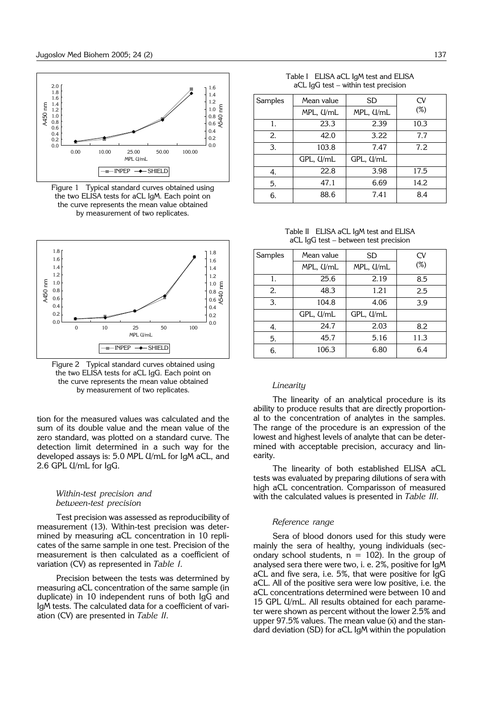

Figure 1 Typical standard curves obtained using the two ELISA tests for aCL IgM. Each point on the curve represents the mean value obtained by measurement of two replicates.



Figure 2 Typical standard curves obtained using the two ELISA tests for aCL IgG. Each point on the curve represents the mean value obtained by measurement of two replicates.

tion for the measured values was calculated and the sum of its double value and the mean value of the zero standard, was plotted on a standard curve. The detection limit determined in a such way for the developed assays is: 5.0 MPL U/mL for IgM aCL, and 2.6 GPL U/mL for IgG.

## *Within*-*test precision and between*-*test precision*

Test precision was assessed as reproducibility of measurement (13). Within-test precision was determined by measuring aCL concentration in 10 replicates of the same sample in one test. Precision of the measurement is then calculated as a coefficient of variation (CV) as represented in *Table I*.

Precision between the tests was determined by measuring aCL concentration of the same sample (in duplicate) in 10 independent runs of both IgG and IgM tests. The calculated data for a coefficient of variation (CV) are presented in *Table II*.

| Table I ELISA aCL IgM test and ELISA |
|--------------------------------------|
| aCL IgG test – within test precision |

| Samples | Mean value | SD        | <b>CV</b> |
|---------|------------|-----------|-----------|
|         | MPL, U/mL  | MPL, U/mL | $(\%)$    |
| 1.      | 23.3       | 2.39      | 10.3      |
| 2.      | 42.0       | 3.22      | 7.7       |
| 3.      | 103.8      | 7.47      | 7.2       |
|         | GPL, U/mL  | GPL, U/mL |           |
| 4.      | 22.8       | 3.98      | 17.5      |
| 5.      | 47.1       | 6.69      | 14.2      |
| 6.      | 88.6       | 7.41      | 8.4       |

Table II ELISA aCL IgM test and ELISA aCL IgG test - between test precision

| Samples | Mean value   | SD        | CV     |
|---------|--------------|-----------|--------|
|         | MPL, U/mL    | MPL, U/mL | $(\%)$ |
| 1.      | 2.19<br>25.6 |           | 8.5    |
| 2.      | 48.3         | 1.21      | 2.5    |
| 3.      | 104.8        | 4.06      | 3.9    |
|         | GPL, U/mL    | GPL, U/mL |        |
| 4.      | 24.7         | 2.03      | 8.2    |
| 5.      | 45.7         | 5.16      | 11.3   |
| 6.      | 106.3        | 6.80      | 6.4    |

## *Linearity*

The linearity of an analytical procedure is its ability to produce results that are directly proportional to the concentration of analytes in the samples. The range of the procedure is an expression of the lowest and highest levels of analyte that can be determined with acceptable precision, accuracy and linearity.

The linearity of both established ELISA aCL tests was evaluated by preparing dilutions of sera with high aCL concentration. Comparisson of measured with the calculated values is presented in *Table III.*

## *Reference range*

Sera of blood donors used for this study were mainly the sera of healthy, young individuals (secondary school students,  $n = 102$ ). In the group of analysed sera there were two, i. e. 2%, positive for IgM aCL and five sera, i.e. 5%, that were positive for IgG aCL. All of the positive sera were low positive, i.e. the aCL concentrations determined were between 10 and 15 GPL U/mL. All results obtained for each parameter were shown as percent without the lower 2.5% and upper 97.5% values. The mean value  $(\bar{x})$  and the standard deviation (SD) for aCL IgM within the population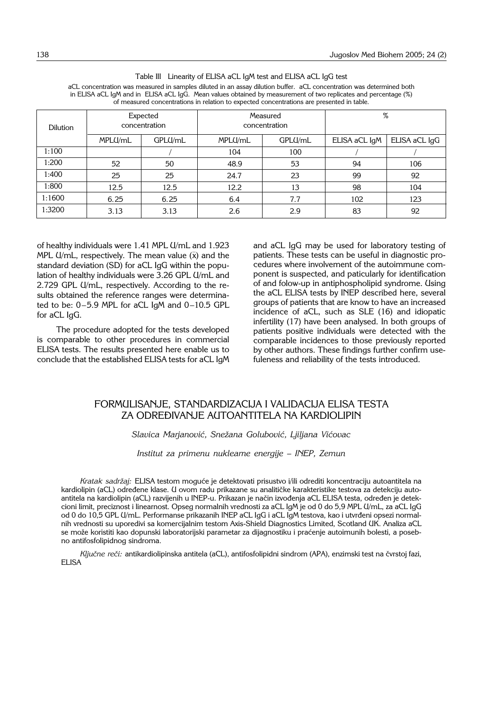| <b>Dilution</b> | Expected<br>concentration |         | Measured<br>concentration |         | %             |               |  |
|-----------------|---------------------------|---------|---------------------------|---------|---------------|---------------|--|
|                 | MPLU/mL                   | GPLU/mL | MPLU/mL                   | GPLU/mL | ELISA aCL IgM | ELISA aCL IgG |  |
| 1:100           |                           |         | 104                       | 100     |               |               |  |
| 1:200           | 52                        | 50      | 48.9                      | 53      | 94            | 106           |  |
| 1:400           | 25                        | 25      | 24.7                      | 23      | 99            | 92            |  |
| 1:800           | 12.5                      | 12.5    | 12.2                      | 13      | 98            | 104           |  |
| 1:1600          | 6.25                      | 6.25    | 6.4                       | 7.7     | 102           | 123           |  |
| 1:3200          | 3.13                      | 3.13    | 2.6                       | 2.9     | 83            | 92            |  |

|                                                                                                                      | Table III Linearity of ELISA aCL IgM test and ELISA aCL IgG test |  |  |
|----------------------------------------------------------------------------------------------------------------------|------------------------------------------------------------------|--|--|
| aCL concentration was measured in samples diluted in an assay dilution buffer. aCL concentration was determined both |                                                                  |  |  |

in ELISA aCL IgM and in ELISA aCL IgG. Mean values obtained by measurement of two replicates and percentage (%) of measured concentrations in relation to expected concentrations are presented in table.

of healthy individuals were 1.41 MPL U/mL and 1.923 MPL U/mL, respectively. The mean value  $(\bar{x})$  and the standard deviation (SD) for aCL IgG within the population of healthy individuals were 3.26 GPL U/mL and 2.729 GPL U/mL, respectively. According to the results obtained the reference ranges were determinated to be:  $0-5.9$  MPL for aCL IgM and  $0-10.5$  GPL for aCL IgG.

The procedure adopted for the tests developed is comparable to other procedures in commercial ELISA tests. The results presented here enable us to conclude that the established ELISA tests for aCL IgM and aCL IgG may be used for laboratory testing of patients. These tests can be useful in diagnostic procedures where involvement of the autoimmune component is suspected, and paticularly for identification of and folow-up in antiphospholipid syndrome. Using the aCL ELISA tests by INEP described here, several groups of patients that are know to have an increased incidence of aCL, such as SLE (16) and idiopatic infertility (17) have been analysed. In both groups of patients positive individuals were detected with the comparable incidences to those previously reported by other authors. These findings further confirm usefuleness and reliability of the tests introduced.

## FORMULISANJE, STANDARDIZACIJA I VALIDACIJA ELISA TESTA ZA ODREĐIVANJE AUTOANTITELA NA KARDIOLIPIN

## Slavica Marjanović, Snežana Golubović, Ljiljana Vićovac

*Institut za primenu nuklearne energije – INEP, Zemun*

Kratak sadržaj: ELISA testom moguće je detektovati prisustvo i/ili odrediti koncentraciju autoantitela na kardiolipin (aCL) određene klase. U ovom radu prikazane su analitičke karakteristike testova za detekciju autoantitela na kardiolipin (aCL) razvijenih u INEP-u. Prikazan je način izvođenja aCL ELISA testa, određen je detekcioni limit, preciznost i linearnost. Opseg normalnih vrednosti za aCL IgM je od 0 do 5,9 MPL U/mL, za aCL IgG od 0 do 10,5 GPL U/mL. Performanse prikazanih INEP aCL IgG i aCL IgM testova, kao i utvrđeni opsezi normalnih vrednosti su uporedivi sa komercijalnim testom Axis-Shield Diagnostics Limited, Scotland UK. Analiza aCL se može koristiti kao dopunski laboratorijski parametar za dijagnostiku i praćenje autoimunih bolesti, a posebno antifosfolipidnog sindroma.

*Ključne reči: antikardiolipinska antitela (aCL), antifosfolipidni sindrom (APA), enzimski test na čvrstoj fazi,* ELISA